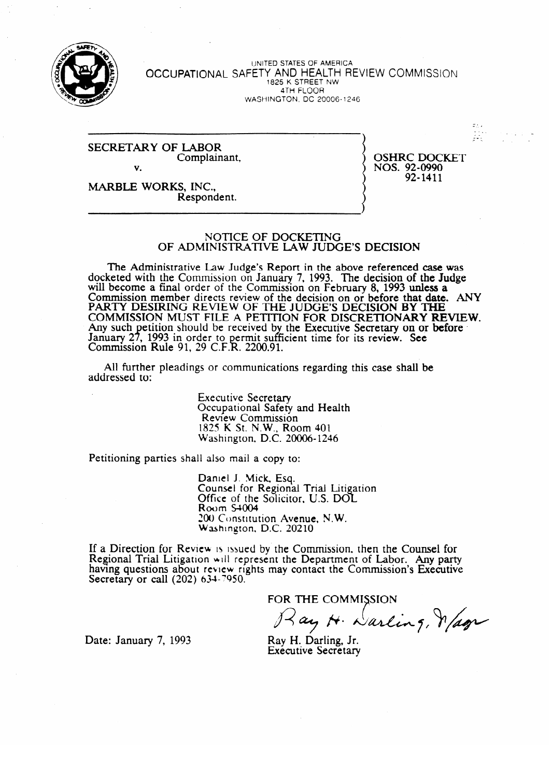

UNITED SIALLO SI AMERICA OCCUPATIONAL SAFETY **AND HEALTH** REVIEW COMMISSION 1825 K STREET NW WASHINGTON, DC 20006-1246

#### SECRETARY OF LABOR. Complainant,  $\mathbf{v}$ .

OSHRC DOCKET<br>NOS. 92-0990 92-1411 92-1411

- - 1,

 $\Xi_{\rm{in}}$ 

/ - - \_ -9 - - . \*\_ -

MARBLE WORKS, INC., Respondent. Respondent.

#### NOTICE OF DOCKETING OF ADMINISTRATIVE LAW JUDGE'S DECISION

The Administrative Law Judge's Report in the above referenced case was docketed with the Commission on January 7, 1993. The decision of the Judge will become a final order of the Commission on February 8, 1993 unless a COMMISSION MEMDER GIFECTS FEVIEW OF THE GECISION ON OF DEFORE THAT GATE.<br>DA DTV DESIDING DEVIEW OF THE HIDGE'S DEGISION BY THE FAKT I DESIKING KEVIEW OF THE JUDGE'S DECISION **DT THE THE DECISION OF BEFORE TH**<br>COMMISSION MUST FILE A DETITION FOR DISCRETIONARY REVIEW COMMISSION MOST FILE A FETITION FOR DISCRETIONART RE Any such pennon should be received by the Executive Secretary on or before January 2<br>Commissi Commission  $\frac{1993 \text{ m}}{206}$  because the sufficient time for its review. Secretary on  $\Gamma$  $\sum_{i=1}^{n}$  in Nuit 51, 25 C.I. . N. 2200. 51.

All further pleadings or communication  $A$  further pleading or communications regarding the communications regarding the case shall be shall be shall be shall be shall be shall be shall be shall be shall be shall be shall be shall be shall be shall be shall be

> **Executive Secretary** Occupational Safety and Health<br>Review Commission 1825 K St. N.W., Room 401 Washington, D.C. 20006-1246  $\mathbf{S}$

Petitioning parties shall also mail a copy to:

Daniel J. Mick, Esq.<br>Counsel for Regional Trial Litigation Office of the Solicitor, U.S. DOL<br>Room S4004  $Room S4004$  and  $T_{S400}$  at  $T_{S400}$  $200$  Constitution Avenue, N.W. Washington, I

LOU Constitution Avenue, NW.  $ew$  is ussued by the Com having questions about review rights may contact the Commission's Executive Secretary or call  $(202)$  634-7950.

FOR THE COMMISSION

Lay H. Darling, Magn

Date: January 7, 1993

addressed to:

Ray H. Darling, Jr. **Executive Secretary**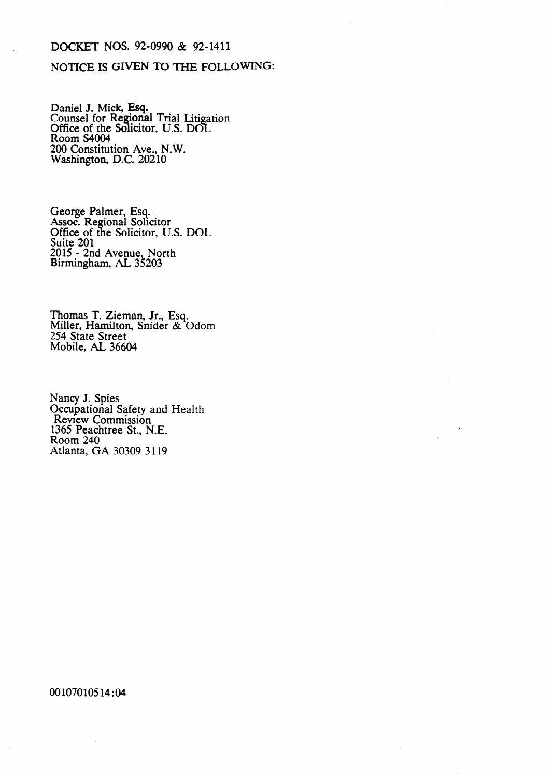# DOCKET NOS. 92-0990 & 92-1411

### NOTICE IS GIVEN TO THE FOLLOWING:

Daniel J. Mick, Esq. Counsel for Regional Trial Litigation Office of the Solicitor, U.S. DOL Room S4004 200 Constitution Ave., N.W. Washington, D.C. 20210

George Palmer, Esq. Assoc. Regional Solicitor Office of the Solicitor, U.S. DOL Suite 201 2015 - 2nd Avenue, North Birmingham, AL 35203

Thomas T. Zieman, Jr., Esq. Miller, Hamilton, Snider & Odom 254 State Street Mobile, AL 36604

Nancy J. Spies Occupational Safety and Health Review Commission 1365 Peachtree St., N.E. Room 240 Atlanta, GA 30309 3119

00107010514:04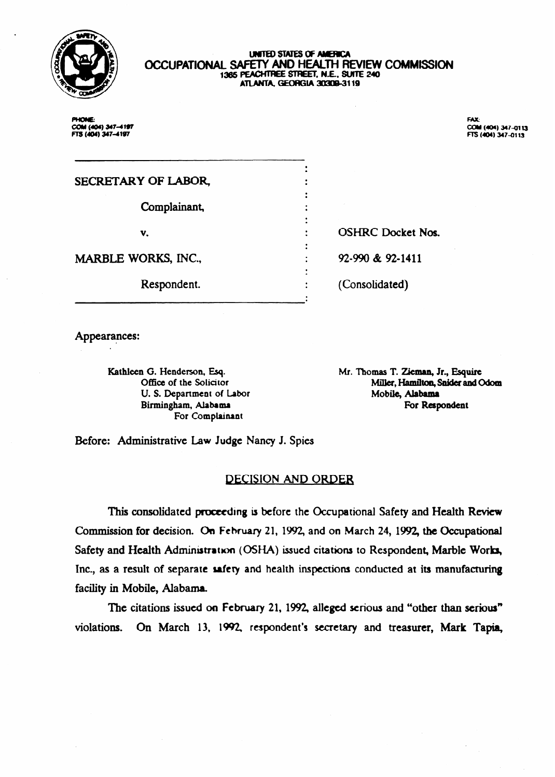

#### UNITED STATES OF AMERICA **OCClJPATlONAL SAFETY AND HEALTH REVIEW** COMMISSlON 1365 PEACHTREE STREET, N.E., SUITE 240 ATLANTA, GEORGIA 30309-3119

. . l  $\bullet$ . . . . . . . . . . . . **. .**  . .

PHONE: cou (404) 347-4197 FTS (404) 347-4197

~~~ ~

**FAX:** COM (404) 347-0113 FTS (404) 347-0113

# SECRETARY OF LABOR,

Complainant,

v.

MARBLE WORKS, INC.,

Respondent.

OSHRC Docket Nos.

**92-990 & z-1411** 

(Consolidated)

Appearances:

Kathleen G. Henderson, Esq. Office of the Solicitor U. S. Department of Labor Birmingham, Alabama For Complainant

Mr. Thomas T. Zieman, Jr., Esquire Miller, Hamilton, Snider and Odom **Mobile, Alabama**  For Respondent

Before: Administrative Law Judge Nancy J. Spies

# **DECISION AND ORDER**

This consolidated proceeding is before the Occupational Safety and Health Review commission for decision. On **Fchruary** 21, 1992, and on March 24, 1992, the Occupational Safety and Health Administration (OSHA) issued citations to Respondent, Marble Works, J Inc., as a result of separate safety and health inspections conducted at its manufacturing facility in Mobile, Alabama.

The citations issued on February 21, 1992, alleged serious and "other than serious" violations. On March 13, 1992, respondent's secretary and treasurer, Mark Tapia,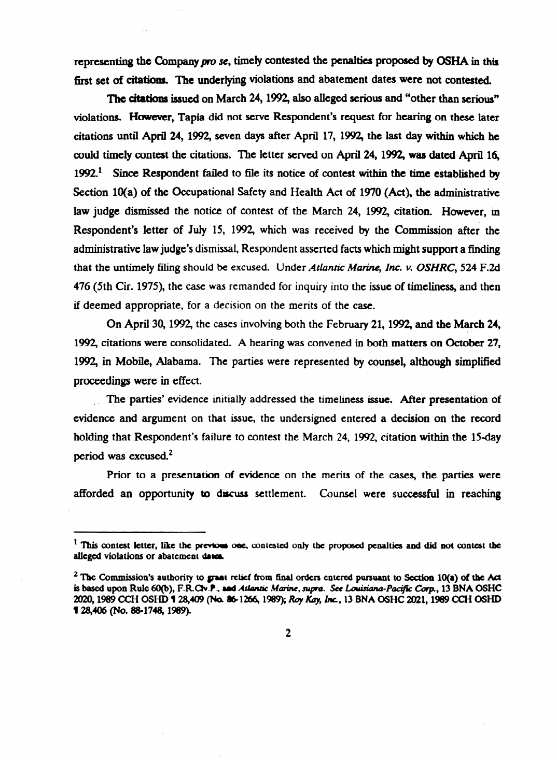representing the Company pro se, timely contested the penalties proposed by OSHA in this first set of citations. The underlying violations and abatement dates were not contested.

The citations issued on March 24, 1992, also alleged serious and "other than serious" violations. However, Tapia did not serve Respondent's request for hearing on these later citations until April 24,1992, seven days after April 17, 1992, the last day within which he could timeiy contest the citations. The letter sewed on April *24,1992,* was dated April 16, 1992.<sup>1</sup> Since Respondent failed to file its notice of contest within the time established by Section 10(a) of the Occupational Safety and Health Act of 1970 (Act), the administrative law judge dismissed the notice of contest of the March 24, 1992, citation. However, in Respondent's letter of July 15, 1992, which was received by the Commission after the administrative law judge's dismissal, Respondent asserted facts which might support a finding that the untimely filing should be excused. Under *Atlantic Marine, Inc. v. OSHRC*, 524 F.2d 476 (5th Cir. 1975), the case was remanded for inquiry into the issue of timeliness, and then if deemed appropriate, for a decision on the merits of the case.

On April *30,1992,* the cases invoking both the February 21,1992, and the March 24,  $\mathbf{L}$ 1992, citations were consolidated. A hearing was convened in both matters on October *27,*  1992, in Mobile, Alabama. The parties were represented by counsel, although simplified proceedings were in effect.<br>The parties' evidence initially addressed the timeliness issue. After presentation of

evidence and argument on that issue, the undersigned entered a decision on the record evidence and argument on that issue, the undersigned entered a decision on the record holding that Respondent's failure to contest the March 24, 1992, citation within the 15day period was excused.<sup>2</sup><br>Prior to a presentation of evidence on the merits of the cases, the parties were

afforded an opportunity to discuss settlement. Counsel were successful in reaching afforded an opportunity to d $\mathcal{L}$  settlement. Counsel were successful in reaching were successful in reaching  $\mathcal{L}$ 

 $<sup>1</sup>$  This contest letter, like the previous one, contested only the proposed penalties and did not contest the</sup> alleged violations or abatement dates.

<sup>&</sup>lt;sup>2</sup> The Commission's authority to graat relief from final orders entered pursuant to Section 10(a) of the Act is based upon Rule 60(b), F.R.C**iv.P., and Atlantic Marine**, supra. See Louisiana-Pacific Corp., 13 BNA OSHC **is based upon Rule 60(b), F.RCkf + md &&antic MmLu, sup. See** *LaririaM-Pw Cbvp,* **13 BNA OSHC**   $$28,406$  (No. 88-1748, 1989).